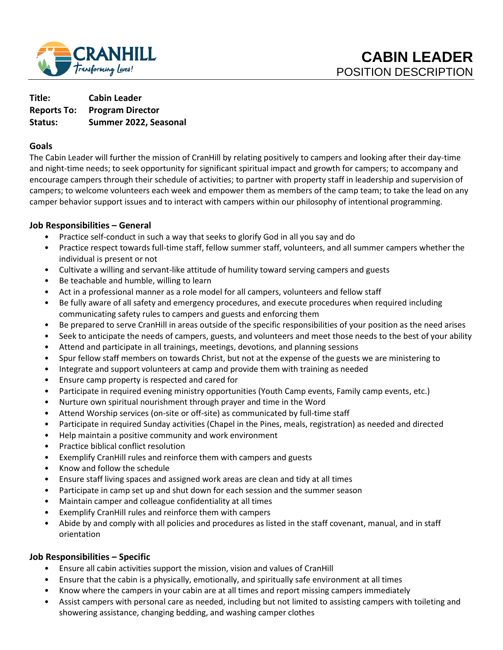

**Title: Cabin Leader Reports To: Program Director Status: Summer 2022, Seasonal**

### **Goals**

The Cabin Leader will further the mission of CranHill by relating positively to campers and looking after their day-time and night-time needs; to seek opportunity for significant spiritual impact and growth for campers; to accompany and encourage campers through their schedule of activities; to partner with property staff in leadership and supervision of campers; to welcome volunteers each week and empower them as members of the camp team; to take the lead on any camper behavior support issues and to interact with campers within our philosophy of intentional programming.

## **Job Responsibilities – General**

- Practice self-conduct in such a way that seeks to glorify God in all you say and do
- Practice respect towards full-time staff, fellow summer staff, volunteers, and all summer campers whether the individual is present or not
- Cultivate a willing and servant-like attitude of humility toward serving campers and guests
- Be teachable and humble, willing to learn
- Act in a professional manner as a role model for all campers, volunteers and fellow staff
- Be fully aware of all safety and emergency procedures, and execute procedures when required including communicating safety rules to campers and guests and enforcing them
- Be prepared to serve CranHill in areas outside of the specific responsibilities of your position as the need arises
- Seek to anticipate the needs of campers, guests, and volunteers and meet those needs to the best of your ability
- Attend and participate in all trainings, meetings, devotions, and planning sessions
- Spur fellow staff members on towards Christ, but not at the expense of the guests we are ministering to
- Integrate and support volunteers at camp and provide them with training as needed
- Ensure camp property is respected and cared for
- Participate in required evening ministry opportunities (Youth Camp events, Family camp events, etc.)
- Nurture own spiritual nourishment through prayer and time in the Word
- Attend Worship services (on-site or off-site) as communicated by full-time staff
- Participate in required Sunday activities (Chapel in the Pines, meals, registration) as needed and directed
- Help maintain a positive community and work environment
- Practice biblical conflict resolution
- Exemplify CranHill rules and reinforce them with campers and guests
- Know and follow the schedule
- Ensure staff living spaces and assigned work areas are clean and tidy at all times
- Participate in camp set up and shut down for each session and the summer season
- Maintain camper and colleague confidentiality at all times
- Exemplify CranHill rules and reinforce them with campers
- Abide by and comply with all policies and procedures as listed in the staff covenant, manual, and in staff orientation

## **Job Responsibilities – Specific**

- Ensure all cabin activities support the mission, vision and values of CranHill
- Ensure that the cabin is a physically, emotionally, and spiritually safe environment at all times
- Know where the campers in your cabin are at all times and report missing campers immediately
- Assist campers with personal care as needed, including but not limited to assisting campers with toileting and showering assistance, changing bedding, and washing camper clothes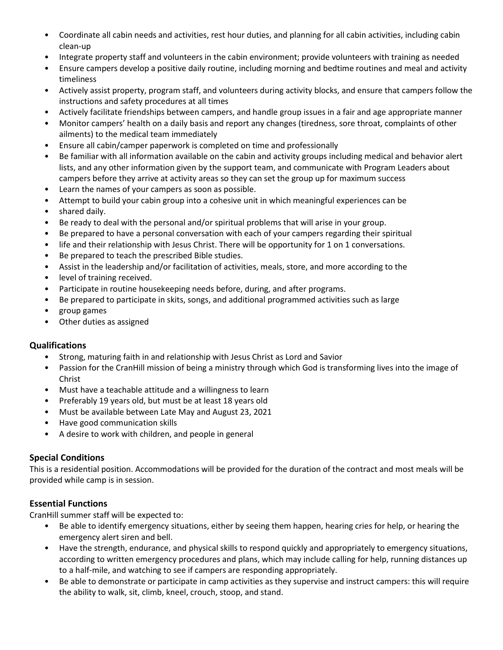- Coordinate all cabin needs and activities, rest hour duties, and planning for all cabin activities, including cabin clean-up
- Integrate property staff and volunteers in the cabin environment; provide volunteers with training as needed
- Ensure campers develop a positive daily routine, including morning and bedtime routines and meal and activity timeliness
- Actively assist property, program staff, and volunteers during activity blocks, and ensure that campers follow the instructions and safety procedures at all times
- Actively facilitate friendships between campers, and handle group issues in a fair and age appropriate manner
- Monitor campers' health on a daily basis and report any changes (tiredness, sore throat, complaints of other ailments) to the medical team immediately
- Ensure all cabin/camper paperwork is completed on time and professionally
- Be familiar with all information available on the cabin and activity groups including medical and behavior alert lists, and any other information given by the support team, and communicate with Program Leaders about campers before they arrive at activity areas so they can set the group up for maximum success
- Learn the names of your campers as soon as possible.
- Attempt to build your cabin group into a cohesive unit in which meaningful experiences can be
- shared daily.
- Be ready to deal with the personal and/or spiritual problems that will arise in your group.
- Be prepared to have a personal conversation with each of your campers regarding their spiritual
- life and their relationship with Jesus Christ. There will be opportunity for 1 on 1 conversations.
- Be prepared to teach the prescribed Bible studies.
- Assist in the leadership and/or facilitation of activities, meals, store, and more according to the
- level of training received.
- Participate in routine housekeeping needs before, during, and after programs.
- Be prepared to participate in skits, songs, and additional programmed activities such as large
- group games
- Other duties as assigned

## **Qualifications**

- Strong, maturing faith in and relationship with Jesus Christ as Lord and Savior
- Passion for the CranHill mission of being a ministry through which God is transforming lives into the image of Christ
- Must have a teachable attitude and a willingness to learn
- Preferably 19 years old, but must be at least 18 years old
- Must be available between Late May and August 23, 2021
- Have good communication skills
- A desire to work with children, and people in general

## **Special Conditions**

This is a residential position. Accommodations will be provided for the duration of the contract and most meals will be provided while camp is in session.

## **Essential Functions**

CranHill summer staff will be expected to:

- Be able to identify emergency situations, either by seeing them happen, hearing cries for help, or hearing the emergency alert siren and bell.
- Have the strength, endurance, and physical skills to respond quickly and appropriately to emergency situations, according to written emergency procedures and plans, which may include calling for help, running distances up to a half-mile, and watching to see if campers are responding appropriately.
- Be able to demonstrate or participate in camp activities as they supervise and instruct campers: this will require the ability to walk, sit, climb, kneel, crouch, stoop, and stand.